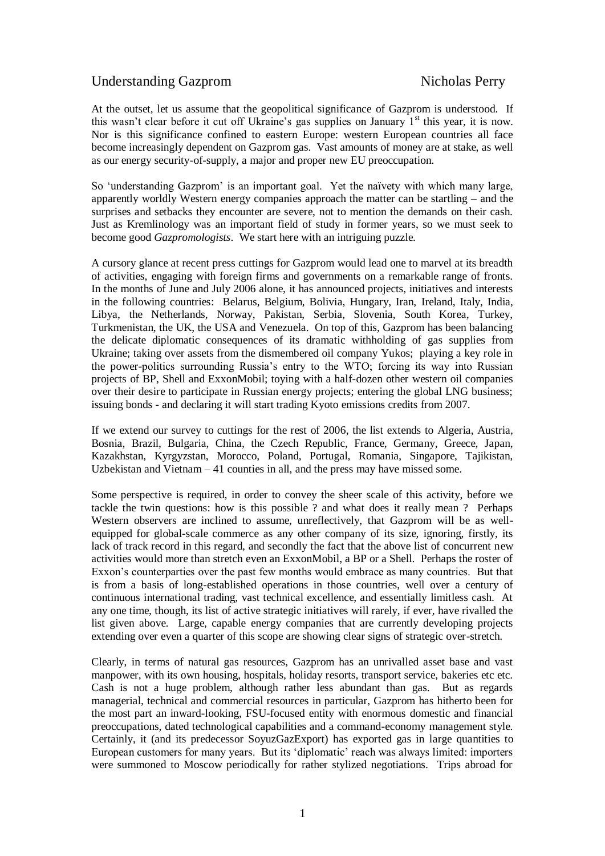# Understanding Gazprom Nicholas Perry

At the outset, let us assume that the geopolitical significance of Gazprom is understood. If this wasn't clear before it cut off Ukraine's gas supplies on January  $1<sup>st</sup>$  this year, it is now. Nor is this significance confined to eastern Europe: western European countries all face become increasingly dependent on Gazprom gas. Vast amounts of money are at stake, as well as our energy security-of-supply, a major and proper new EU preoccupation.

So 'understanding Gazprom' is an important goal. Yet the naïvety with which many large, apparently worldly Western energy companies approach the matter can be startling – and the surprises and setbacks they encounter are severe, not to mention the demands on their cash. Just as Kremlinology was an important field of study in former years, so we must seek to become good *Gazpromologists*. We start here with an intriguing puzzle.

A cursory glance at recent press cuttings for Gazprom would lead one to marvel at its breadth of activities, engaging with foreign firms and governments on a remarkable range of fronts. In the months of June and July 2006 alone, it has announced projects, initiatives and interests in the following countries: Belarus, Belgium, Bolivia, Hungary, Iran, Ireland, Italy, India, Libya, the Netherlands, Norway, Pakistan, Serbia, Slovenia, South Korea, Turkey, Turkmenistan, the UK, the USA and Venezuela. On top of this, Gazprom has been balancing the delicate diplomatic consequences of its dramatic withholding of gas supplies from Ukraine; taking over assets from the dismembered oil company Yukos; playing a key role in the power-politics surrounding Russia's entry to the WTO; forcing its way into Russian projects of BP, Shell and ExxonMobil; toying with a half-dozen other western oil companies over their desire to participate in Russian energy projects; entering the global LNG business; issuing bonds - and declaring it will start trading Kyoto emissions credits from 2007.

If we extend our survey to cuttings for the rest of 2006, the list extends to Algeria, Austria, Bosnia, Brazil, Bulgaria, China, the Czech Republic, France, Germany, Greece, Japan, Kazakhstan, Kyrgyzstan, Morocco, Poland, Portugal, Romania, Singapore, Tajikistan, Uzbekistan and Vietnam – 41 counties in all, and the press may have missed some.

Some perspective is required, in order to convey the sheer scale of this activity, before we tackle the twin questions: how is this possible ? and what does it really mean ? Perhaps Western observers are inclined to assume, unreflectively, that Gazprom will be as wellequipped for global-scale commerce as any other company of its size, ignoring, firstly, its lack of track record in this regard, and secondly the fact that the above list of concurrent new activities would more than stretch even an ExxonMobil, a BP or a Shell. Perhaps the roster of Exxon's counterparties over the past few months would embrace as many countries. But that is from a basis of long-established operations in those countries, well over a century of continuous international trading, vast technical excellence, and essentially limitless cash. At any one time, though, its list of active strategic initiatives will rarely, if ever, have rivalled the list given above. Large, capable energy companies that are currently developing projects extending over even a quarter of this scope are showing clear signs of strategic over-stretch.

Clearly, in terms of natural gas resources, Gazprom has an unrivalled asset base and vast manpower, with its own housing, hospitals, holiday resorts, transport service, bakeries etc etc. Cash is not a huge problem, although rather less abundant than gas. But as regards managerial, technical and commercial resources in particular, Gazprom has hitherto been for the most part an inward-looking, FSU-focused entity with enormous domestic and financial preoccupations, dated technological capabilities and a command-economy management style. Certainly, it (and its predecessor SoyuzGazExport) has exported gas in large quantities to European customers for many years. But its 'diplomatic' reach was always limited: importers were summoned to Moscow periodically for rather stylized negotiations. Trips abroad for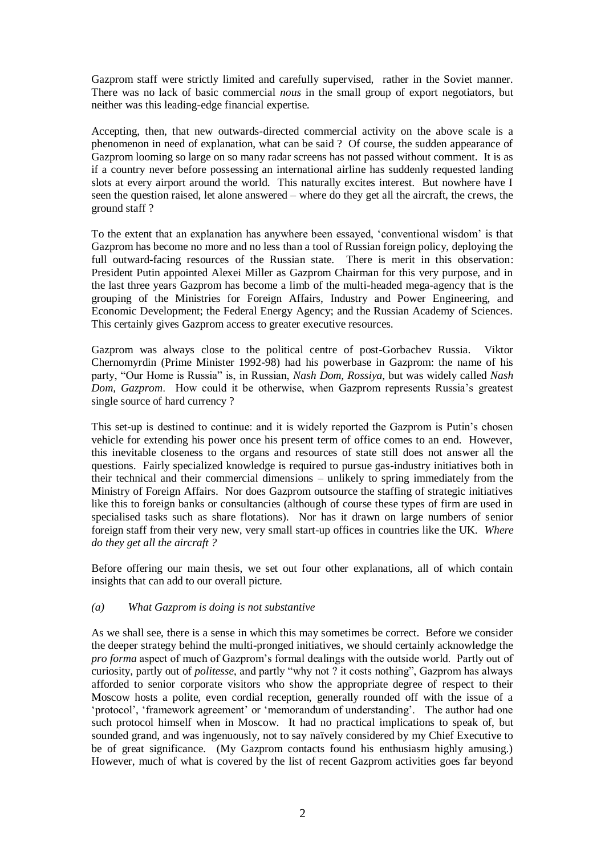Gazprom staff were strictly limited and carefully supervised, rather in the Soviet manner. There was no lack of basic commercial *nous* in the small group of export negotiators, but neither was this leading-edge financial expertise.

Accepting, then, that new outwards-directed commercial activity on the above scale is a phenomenon in need of explanation, what can be said ? Of course, the sudden appearance of Gazprom looming so large on so many radar screens has not passed without comment. It is as if a country never before possessing an international airline has suddenly requested landing slots at every airport around the world. This naturally excites interest. But nowhere have I seen the question raised, let alone answered – where do they get all the aircraft, the crews, the ground staff ?

To the extent that an explanation has anywhere been essayed, 'conventional wisdom' is that Gazprom has become no more and no less than a tool of Russian foreign policy, deploying the full outward-facing resources of the Russian state. There is merit in this observation: President Putin appointed Alexei Miller as Gazprom Chairman for this very purpose, and in the last three years Gazprom has become a limb of the multi-headed mega-agency that is the grouping of the Ministries for Foreign Affairs, Industry and Power Engineering, and Economic Development; the Federal Energy Agency; and the Russian Academy of Sciences. This certainly gives Gazprom access to greater executive resources.

Gazprom was always close to the political centre of post-Gorbachev Russia. Viktor Chernomyrdin (Prime Minister 1992-98) had his powerbase in Gazprom: the name of his party, "Our Home is Russia" is, in Russian, *Nash Dom, Rossiya*, but was widely called *Nash Dom, Gazprom*. How could it be otherwise, when Gazprom represents Russia's greatest single source of hard currency ?

This set-up is destined to continue: and it is widely reported the Gazprom is Putin's chosen vehicle for extending his power once his present term of office comes to an end. However, this inevitable closeness to the organs and resources of state still does not answer all the questions. Fairly specialized knowledge is required to pursue gas-industry initiatives both in their technical and their commercial dimensions – unlikely to spring immediately from the Ministry of Foreign Affairs. Nor does Gazprom outsource the staffing of strategic initiatives like this to foreign banks or consultancies (although of course these types of firm are used in specialised tasks such as share flotations). Nor has it drawn on large numbers of senior foreign staff from their very new, very small start-up offices in countries like the UK. *Where do they get all the aircraft ?*

Before offering our main thesis, we set out four other explanations, all of which contain insights that can add to our overall picture.

### *(a) What Gazprom is doing is not substantive*

As we shall see, there is a sense in which this may sometimes be correct. Before we consider the deeper strategy behind the multi-pronged initiatives, we should certainly acknowledge the *pro forma* aspect of much of Gazprom's formal dealings with the outside world. Partly out of curiosity, partly out of *politesse*, and partly "why not ? it costs nothing", Gazprom has always afforded to senior corporate visitors who show the appropriate degree of respect to their Moscow hosts a polite, even cordial reception, generally rounded off with the issue of a 'protocol', 'framework agreement' or 'memorandum of understanding'. The author had one such protocol himself when in Moscow. It had no practical implications to speak of, but sounded grand, and was ingenuously, not to say naïvely considered by my Chief Executive to be of great significance. (My Gazprom contacts found his enthusiasm highly amusing.) However, much of what is covered by the list of recent Gazprom activities goes far beyond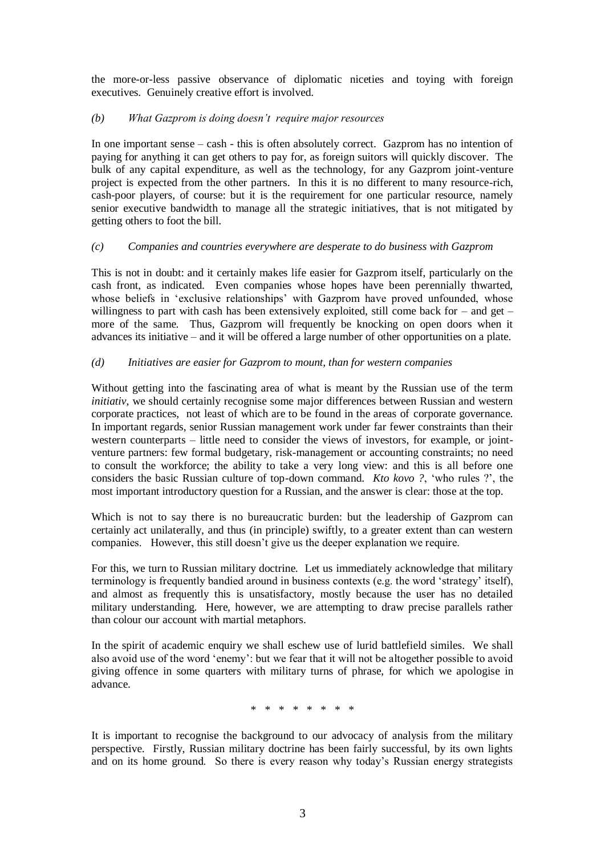the more-or-less passive observance of diplomatic niceties and toying with foreign executives. Genuinely creative effort is involved.

# *(b) What Gazprom is doing doesn't require major resources*

In one important sense – cash - this is often absolutely correct. Gazprom has no intention of paying for anything it can get others to pay for, as foreign suitors will quickly discover. The bulk of any capital expenditure, as well as the technology, for any Gazprom joint-venture project is expected from the other partners. In this it is no different to many resource-rich, cash-poor players, of course: but it is the requirement for one particular resource, namely senior executive bandwidth to manage all the strategic initiatives, that is not mitigated by getting others to foot the bill.

# *(c) Companies and countries everywhere are desperate to do business with Gazprom*

This is not in doubt: and it certainly makes life easier for Gazprom itself, particularly on the cash front, as indicated. Even companies whose hopes have been perennially thwarted, whose beliefs in 'exclusive relationships' with Gazprom have proved unfounded, whose willingness to part with cash has been extensively exploited, still come back for  $-$  and get  $$ more of the same. Thus, Gazprom will frequently be knocking on open doors when it advances its initiative – and it will be offered a large number of other opportunities on a plate.

# *(d) Initiatives are easier for Gazprom to mount, than for western companies*

Without getting into the fascinating area of what is meant by the Russian use of the term *initiativ*, we should certainly recognise some major differences between Russian and western corporate practices, not least of which are to be found in the areas of corporate governance. In important regards, senior Russian management work under far fewer constraints than their western counterparts – little need to consider the views of investors, for example, or jointventure partners: few formal budgetary, risk-management or accounting constraints; no need to consult the workforce; the ability to take a very long view: and this is all before one considers the basic Russian culture of top-down command. *Kto kovo ?*, 'who rules ?', the most important introductory question for a Russian, and the answer is clear: those at the top.

Which is not to say there is no bureaucratic burden: but the leadership of Gazprom can certainly act unilaterally, and thus (in principle) swiftly, to a greater extent than can western companies. However, this still doesn't give us the deeper explanation we require.

For this, we turn to Russian military doctrine. Let us immediately acknowledge that military terminology is frequently bandied around in business contexts (e.g. the word 'strategy' itself), and almost as frequently this is unsatisfactory, mostly because the user has no detailed military understanding. Here, however, we are attempting to draw precise parallels rather than colour our account with martial metaphors.

In the spirit of academic enquiry we shall eschew use of lurid battlefield similes. We shall also avoid use of the word 'enemy': but we fear that it will not be altogether possible to avoid giving offence in some quarters with military turns of phrase, for which we apologise in advance.

\* \* \* \* \* \* \* \*

It is important to recognise the background to our advocacy of analysis from the military perspective. Firstly, Russian military doctrine has been fairly successful, by its own lights and on its home ground. So there is every reason why today's Russian energy strategists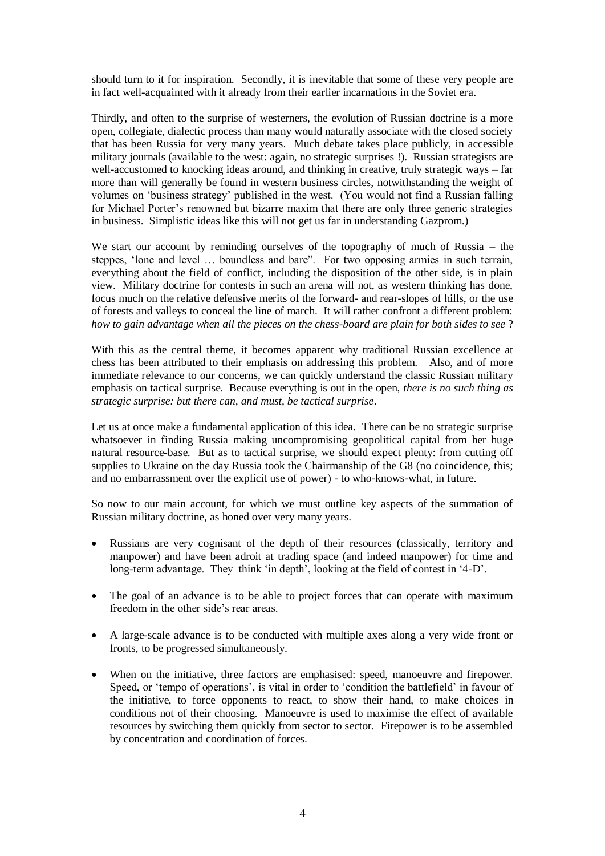should turn to it for inspiration. Secondly, it is inevitable that some of these very people are in fact well-acquainted with it already from their earlier incarnations in the Soviet era.

Thirdly, and often to the surprise of westerners, the evolution of Russian doctrine is a more open, collegiate, dialectic process than many would naturally associate with the closed society that has been Russia for very many years. Much debate takes place publicly, in accessible military journals (available to the west: again, no strategic surprises !). Russian strategists are well-accustomed to knocking ideas around, and thinking in creative, truly strategic ways – far more than will generally be found in western business circles, notwithstanding the weight of volumes on 'business strategy' published in the west. (You would not find a Russian falling for Michael Porter's renowned but bizarre maxim that there are only three generic strategies in business. Simplistic ideas like this will not get us far in understanding Gazprom.)

We start our account by reminding ourselves of the topography of much of Russia – the steppes, 'lone and level … boundless and bare". For two opposing armies in such terrain, everything about the field of conflict, including the disposition of the other side, is in plain view. Military doctrine for contests in such an arena will not, as western thinking has done, focus much on the relative defensive merits of the forward- and rear-slopes of hills, or the use of forests and valleys to conceal the line of march. It will rather confront a different problem: *how to gain advantage when all the pieces on the chess-board are plain for both sides to see* ?

With this as the central theme, it becomes apparent why traditional Russian excellence at chess has been attributed to their emphasis on addressing this problem. Also, and of more immediate relevance to our concerns, we can quickly understand the classic Russian military emphasis on tactical surprise. Because everything is out in the open, *there is no such thing as strategic surprise: but there can, and must, be tactical surprise*.

Let us at once make a fundamental application of this idea. There can be no strategic surprise whatsoever in finding Russia making uncompromising geopolitical capital from her huge natural resource-base. But as to tactical surprise, we should expect plenty: from cutting off supplies to Ukraine on the day Russia took the Chairmanship of the G8 (no coincidence, this; and no embarrassment over the explicit use of power) - to who-knows-what, in future.

So now to our main account, for which we must outline key aspects of the summation of Russian military doctrine, as honed over very many years.

- Russians are very cognisant of the depth of their resources (classically, territory and manpower) and have been adroit at trading space (and indeed manpower) for time and long-term advantage. They think 'in depth', looking at the field of contest in '4-D'.
- The goal of an advance is to be able to project forces that can operate with maximum freedom in the other side's rear areas.
- A large-scale advance is to be conducted with multiple axes along a very wide front or fronts, to be progressed simultaneously.
- When on the initiative, three factors are emphasised: speed, manoeuvre and firepower. Speed, or 'tempo of operations', is vital in order to 'condition the battlefield' in favour of the initiative, to force opponents to react, to show their hand, to make choices in conditions not of their choosing. Manoeuvre is used to maximise the effect of available resources by switching them quickly from sector to sector. Firepower is to be assembled by concentration and coordination of forces.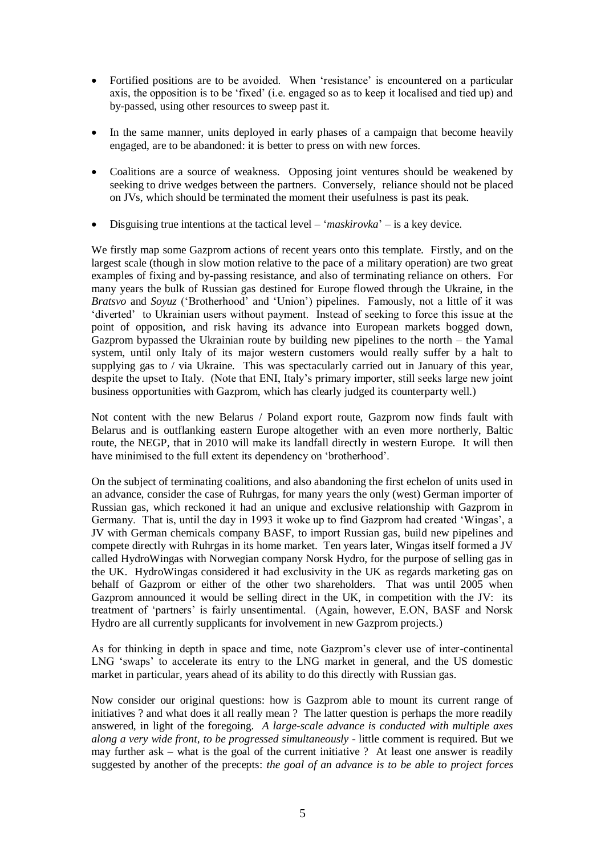- Fortified positions are to be avoided. When 'resistance' is encountered on a particular axis, the opposition is to be 'fixed' (i.e. engaged so as to keep it localised and tied up) and by-passed, using other resources to sweep past it.
- In the same manner, units deployed in early phases of a campaign that become heavily engaged, are to be abandoned: it is better to press on with new forces.
- Coalitions are a source of weakness. Opposing joint ventures should be weakened by seeking to drive wedges between the partners. Conversely, reliance should not be placed on JVs, which should be terminated the moment their usefulness is past its peak.
- Disguising true intentions at the tactical level '*maskirovka*' is a key device.

We firstly map some Gazprom actions of recent years onto this template. Firstly, and on the largest scale (though in slow motion relative to the pace of a military operation) are two great examples of fixing and by-passing resistance, and also of terminating reliance on others. For many years the bulk of Russian gas destined for Europe flowed through the Ukraine, in the *Bratsvo* and *Soyuz* ('Brotherhood' and 'Union') pipelines. Famously, not a little of it was 'diverted' to Ukrainian users without payment. Instead of seeking to force this issue at the point of opposition, and risk having its advance into European markets bogged down, Gazprom bypassed the Ukrainian route by building new pipelines to the north – the Yamal system, until only Italy of its major western customers would really suffer by a halt to supplying gas to / via Ukraine. This was spectacularly carried out in January of this year, despite the upset to Italy. (Note that ENI, Italy's primary importer, still seeks large new joint business opportunities with Gazprom, which has clearly judged its counterparty well.)

Not content with the new Belarus / Poland export route, Gazprom now finds fault with Belarus and is outflanking eastern Europe altogether with an even more northerly, Baltic route, the NEGP, that in 2010 will make its landfall directly in western Europe. It will then have minimised to the full extent its dependency on 'brotherhood'.

On the subject of terminating coalitions, and also abandoning the first echelon of units used in an advance, consider the case of Ruhrgas, for many years the only (west) German importer of Russian gas, which reckoned it had an unique and exclusive relationship with Gazprom in Germany. That is, until the day in 1993 it woke up to find Gazprom had created 'Wingas', a JV with German chemicals company BASF, to import Russian gas, build new pipelines and compete directly with Ruhrgas in its home market. Ten years later, Wingas itself formed a JV called HydroWingas with Norwegian company Norsk Hydro, for the purpose of selling gas in the UK. HydroWingas considered it had exclusivity in the UK as regards marketing gas on behalf of Gazprom or either of the other two shareholders. That was until 2005 when Gazprom announced it would be selling direct in the UK, in competition with the JV: its treatment of 'partners' is fairly unsentimental. (Again, however, E.ON, BASF and Norsk Hydro are all currently supplicants for involvement in new Gazprom projects.)

As for thinking in depth in space and time, note Gazprom's clever use of inter-continental LNG 'swaps' to accelerate its entry to the LNG market in general, and the US domestic market in particular, years ahead of its ability to do this directly with Russian gas.

Now consider our original questions: how is Gazprom able to mount its current range of initiatives ? and what does it all really mean ? The latter question is perhaps the more readily answered, in light of the foregoing. *A large-scale advance is conducted with multiple axes along a very wide front, to be progressed simultaneously* - little comment is required. But we may further ask – what is the goal of the current initiative ? At least one answer is readily suggested by another of the precepts: *the goal of an advance is to be able to project forces*